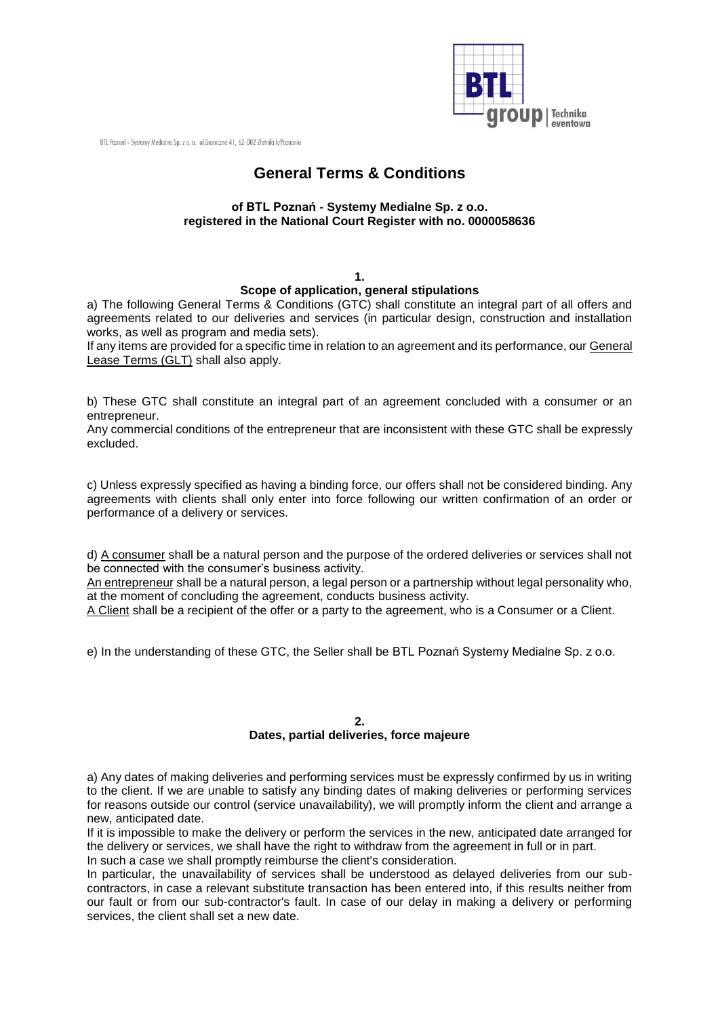

BTL Poznań - Systemy Medialne Sp. z o. o. ul. Graniczna 41, 62-002 Złotniki k/Poznania

# **General Terms & Conditions**

### **of BTL Poznań - Systemy Medialne Sp. z o.o. registered in the National Court Register with no. 0000058636**

#### **1.**

## **Scope of application, general stipulations**

a) The following General Terms & Conditions (GTC) shall constitute an integral part of all offers and agreements related to our deliveries and services (in particular design, construction and installation works, as well as program and media sets).

If any items are provided for a specific time in relation to an agreement and its performance, our General Lease Terms (GLT) shall also apply.

b) These GTC shall constitute an integral part of an agreement concluded with a consumer or an entrepreneur.

Any commercial conditions of the entrepreneur that are inconsistent with these GTC shall be expressly excluded.

c) Unless expressly specified as having a binding force, our offers shall not be considered binding. Any agreements with clients shall only enter into force following our written confirmation of an order or performance of a delivery or services.

d) A consumer shall be a natural person and the purpose of the ordered deliveries or services shall not be connected with the consumer's business activity.

An entrepreneur shall be a natural person, a legal person or a partnership without legal personality who, at the moment of concluding the agreement, conducts business activity.

A Client shall be a recipient of the offer or a party to the agreement, who is a Consumer or a Client.

e) In the understanding of these GTC, the Seller shall be BTL Poznań Systemy Medialne Sp. z o.o.

### **2.**

## **Dates, partial deliveries, force majeure**

a) Any dates of making deliveries and performing services must be expressly confirmed by us in writing to the client. If we are unable to satisfy any binding dates of making deliveries or performing services for reasons outside our control (service unavailability), we will promptly inform the client and arrange a new, anticipated date.

If it is impossible to make the delivery or perform the services in the new, anticipated date arranged for the delivery or services, we shall have the right to withdraw from the agreement in full or in part. In such a case we shall promptly reimburse the client's consideration.

In particular, the unavailability of services shall be understood as delayed deliveries from our subcontractors, in case a relevant substitute transaction has been entered into, if this results neither from our fault or from our sub-contractor's fault. In case of our delay in making a delivery or performing services, the client shall set a new date.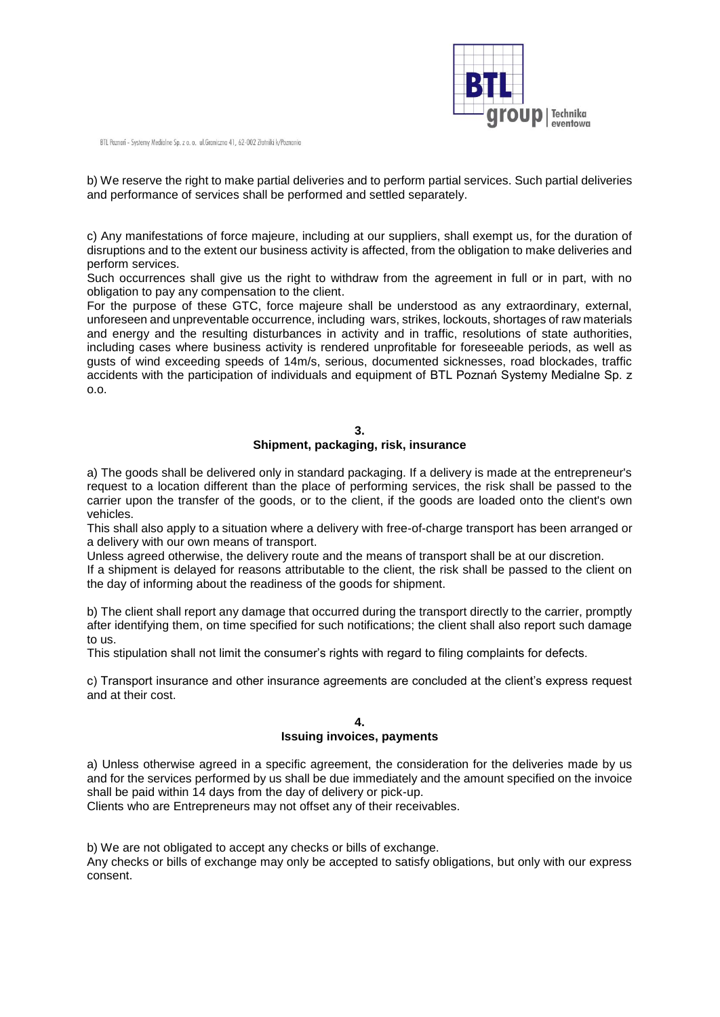

BTL Poznań - Systemy Medialne Sp. z o. o. ul.Graniczna 41, 62-002 Złotniki k/Poznania

b) We reserve the right to make partial deliveries and to perform partial services. Such partial deliveries and performance of services shall be performed and settled separately.

c) Any manifestations of force majeure, including at our suppliers, shall exempt us, for the duration of disruptions and to the extent our business activity is affected, from the obligation to make deliveries and perform services.

Such occurrences shall give us the right to withdraw from the agreement in full or in part, with no obligation to pay any compensation to the client.

For the purpose of these GTC, force majeure shall be understood as any extraordinary, external, unforeseen and unpreventable occurrence, including wars, strikes, lockouts, shortages of raw materials and energy and the resulting disturbances in activity and in traffic, resolutions of state authorities, including cases where business activity is rendered unprofitable for foreseeable periods, as well as gusts of wind exceeding speeds of 14m/s, serious, documented sicknesses, road blockades, traffic accidents with the participation of individuals and equipment of BTL Poznań Systemy Medialne Sp. z o.o.

### **3.**

### **Shipment, packaging, risk, insurance**

a) The goods shall be delivered only in standard packaging. If a delivery is made at the entrepreneur's request to a location different than the place of performing services, the risk shall be passed to the carrier upon the transfer of the goods, or to the client, if the goods are loaded onto the client's own vehicles.

This shall also apply to a situation where a delivery with free-of-charge transport has been arranged or a delivery with our own means of transport.

Unless agreed otherwise, the delivery route and the means of transport shall be at our discretion.

If a shipment is delayed for reasons attributable to the client, the risk shall be passed to the client on the day of informing about the readiness of the goods for shipment.

b) The client shall report any damage that occurred during the transport directly to the carrier, promptly after identifying them, on time specified for such notifications; the client shall also report such damage to us.

This stipulation shall not limit the consumer's rights with regard to filing complaints for defects.

c) Transport insurance and other insurance agreements are concluded at the client's express request and at their cost.

## **4. Issuing invoices, payments**

a) Unless otherwise agreed in a specific agreement, the consideration for the deliveries made by us and for the services performed by us shall be due immediately and the amount specified on the invoice shall be paid within 14 days from the day of delivery or pick-up.

Clients who are Entrepreneurs may not offset any of their receivables.

b) We are not obligated to accept any checks or bills of exchange. Any checks or bills of exchange may only be accepted to satisfy obligations, but only with our express consent.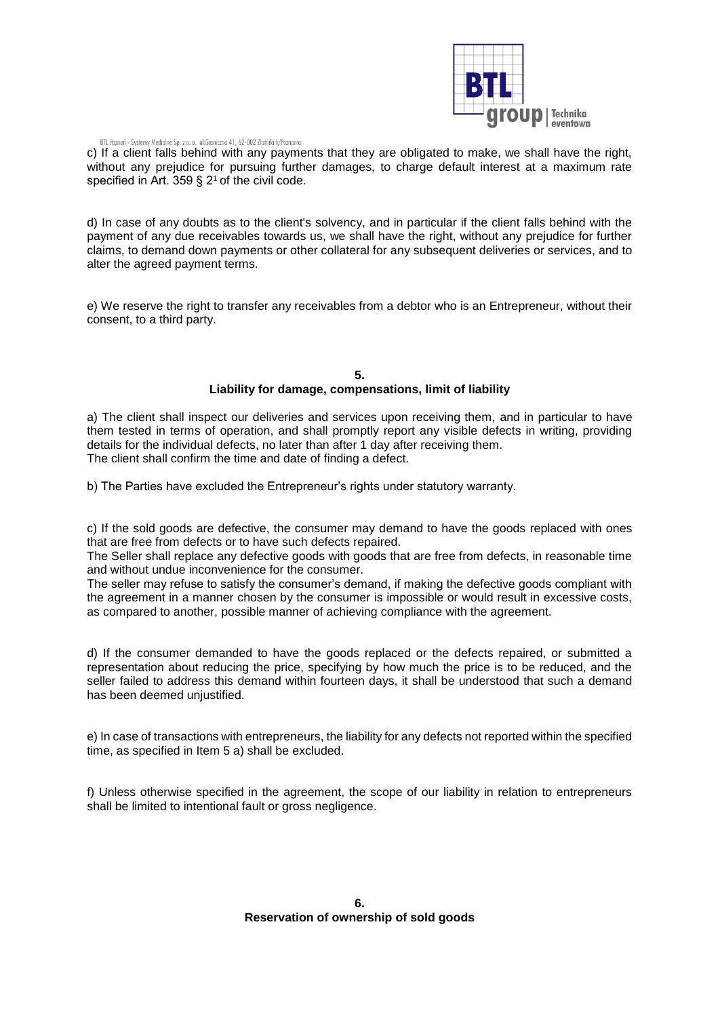

#### BTL Poznań - Systemy Medialne Sp. z o. o. ul. Graniczna 41, 62-002 Złotniki k/Poznania

c) If a client falls behind with any payments that they are obligated to make, we shall have the right, without any prejudice for pursuing further damages, to charge default interest at a maximum rate specified in Art.  $359 \text{ s}$  2<sup>1</sup> of the civil code.

d) In case of any doubts as to the client's solvency, and in particular if the client falls behind with the payment of any due receivables towards us, we shall have the right, without any prejudice for further claims, to demand down payments or other collateral for any subsequent deliveries or services, and to alter the agreed payment terms.

e) We reserve the right to transfer any receivables from a debtor who is an Entrepreneur, without their consent, to a third party.

#### **5. Liability for damage, compensations, limit of liability**

a) The client shall inspect our deliveries and services upon receiving them, and in particular to have them tested in terms of operation, and shall promptly report any visible defects in writing, providing details for the individual defects, no later than after 1 day after receiving them. The client shall confirm the time and date of finding a defect.

b) The Parties have excluded the Entrepreneur's rights under statutory warranty.

c) If the sold goods are defective, the consumer may demand to have the goods replaced with ones that are free from defects or to have such defects repaired.

The Seller shall replace any defective goods with goods that are free from defects, in reasonable time and without undue inconvenience for the consumer.

The seller may refuse to satisfy the consumer's demand, if making the defective goods compliant with the agreement in a manner chosen by the consumer is impossible or would result in excessive costs, as compared to another, possible manner of achieving compliance with the agreement.

d) If the consumer demanded to have the goods replaced or the defects repaired, or submitted a representation about reducing the price, specifying by how much the price is to be reduced, and the seller failed to address this demand within fourteen days, it shall be understood that such a demand has been deemed unjustified.

e) In case of transactions with entrepreneurs, the liability for any defects not reported within the specified time, as specified in Item 5 a) shall be excluded.

f) Unless otherwise specified in the agreement, the scope of our liability in relation to entrepreneurs shall be limited to intentional fault or gross negligence.